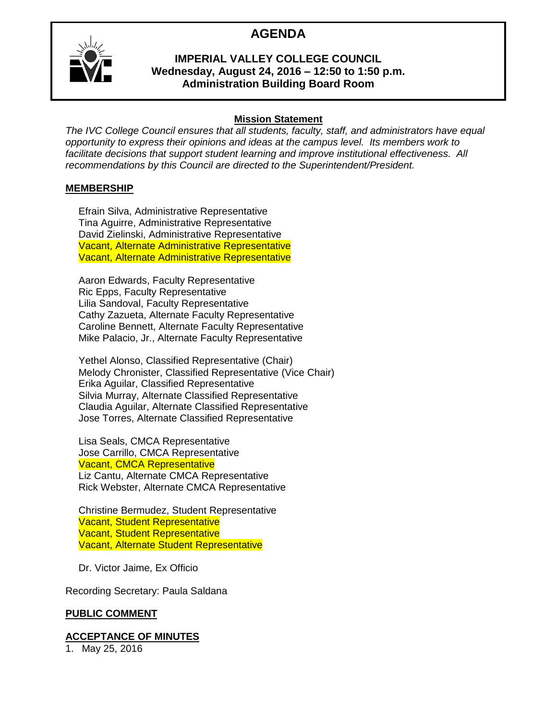## **AGENDA**



#### **IMPERIAL VALLEY COLLEGE COUNCIL Wednesday, August 24, 2016 – 12:50 to 1:50 p.m. Administration Building Board Room**

#### **Mission Statement**

*The IVC College Council ensures that all students, faculty, staff, and administrators have equal opportunity to express their opinions and ideas at the campus level. Its members work to facilitate decisions that support student learning and improve institutional effectiveness. All recommendations by this Council are directed to the Superintendent/President.*

#### **MEMBERSHIP**

Efrain Silva, Administrative Representative Tina Aguirre, Administrative Representative David Zielinski, Administrative Representative Vacant, Alternate Administrative Representative Vacant, Alternate Administrative Representative

Aaron Edwards, Faculty Representative Ric Epps, Faculty Representative Lilia Sandoval, Faculty Representative Cathy Zazueta, Alternate Faculty Representative Caroline Bennett, Alternate Faculty Representative Mike Palacio, Jr., Alternate Faculty Representative

Yethel Alonso, Classified Representative (Chair) Melody Chronister, Classified Representative (Vice Chair) Erika Aguilar, Classified Representative Silvia Murray, Alternate Classified Representative Claudia Aguilar, Alternate Classified Representative Jose Torres, Alternate Classified Representative

Lisa Seals, CMCA Representative Jose Carrillo, CMCA Representative Vacant, CMCA Representative Liz Cantu, Alternate CMCA Representative Rick Webster, Alternate CMCA Representative

Christine Bermudez, Student Representative Vacant, Student Representative Vacant, Student Representative Vacant, Alternate Student Representative

Dr. Victor Jaime, Ex Officio

Recording Secretary: Paula Saldana

#### **PUBLIC COMMENT**

#### **ACCEPTANCE OF MINUTES**

1. May 25, 2016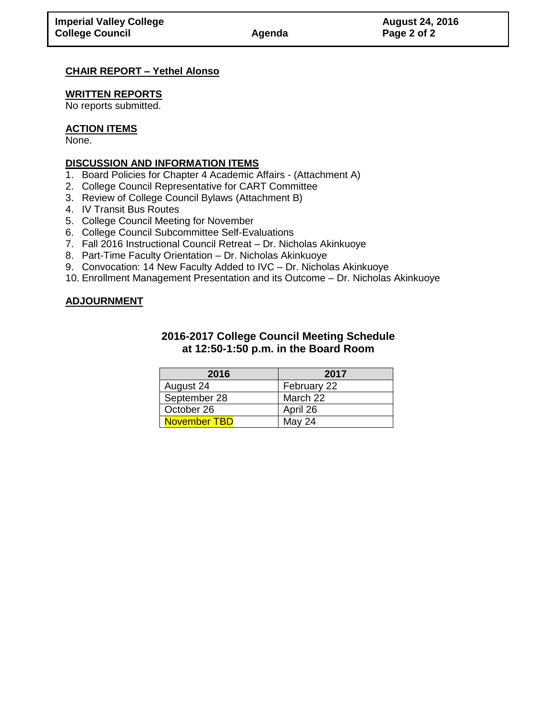#### **CHAIR REPORT – Yethel Alonso**

#### **WRITTEN REPORTS**

No reports submitted.

#### **ACTION ITEMS**

None.

#### **DISCUSSION AND INFORMATION ITEMS**

- 1. Board Policies for Chapter 4 Academic Affairs (Attachment A)
- 2. College Council Representative for CART Committee
- 3. Review of College Council Bylaws (Attachment B)
- 4. IV Transit Bus Routes
- 5. College Council Meeting for November
- 6. College Council Subcommittee Self-Evaluations
- 7. Fall 2016 Instructional Council Retreat Dr. Nicholas Akinkuoye
- 8. Part-Time Faculty Orientation Dr. Nicholas Akinkuoye
- 9. Convocation: 14 New Faculty Added to IVC Dr. Nicholas Akinkuoye
- 10. Enrollment Management Presentation and its Outcome Dr. Nicholas Akinkuoye

#### **ADJOURNMENT**

#### **2016-2017 College Council Meeting Schedule at 12:50-1:50 p.m. in the Board Room**

| 2016         | 2017        |
|--------------|-------------|
| August 24    | February 22 |
| September 28 | March 22    |
| October 26   | April 26    |
| November TBD | May 24      |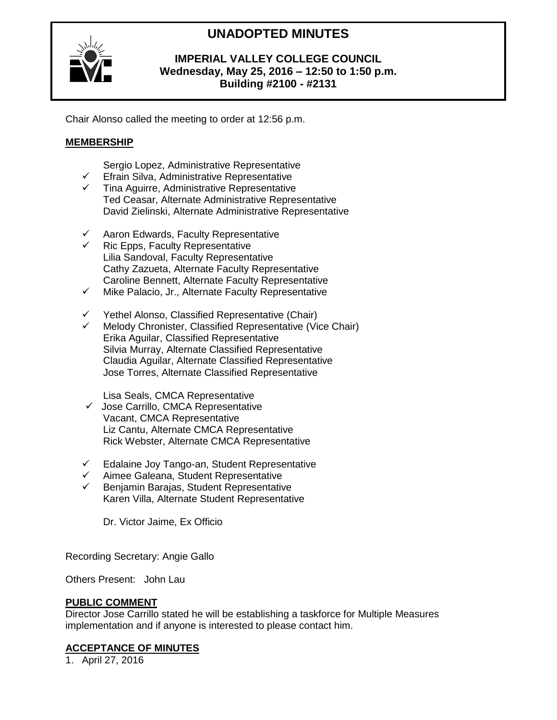# **UNADOPTED MINUTES**



#### **IMPERIAL VALLEY COLLEGE COUNCIL Wednesday, May 25, 2016 – 12:50 to 1:50 p.m. Building #2100 - #2131**

Chair Alonso called the meeting to order at 12:56 p.m.

## **MEMBERSHIP**

Sergio Lopez, Administrative Representative

- $\checkmark$  Efrain Silva, Administrative Representative
- $\checkmark$  Tina Aguirre, Administrative Representative Ted Ceasar, Alternate Administrative Representative David Zielinski, Alternate Administrative Representative
- $\checkmark$  Aaron Edwards, Faculty Representative
- Ric Epps, Faculty Representative Lilia Sandoval, Faculty Representative Cathy Zazueta, Alternate Faculty Representative Caroline Bennett, Alternate Faculty Representative
- $\checkmark$  Mike Palacio, Jr., Alternate Faculty Representative
- $\checkmark$  Yethel Alonso, Classified Representative (Chair)<br> $\checkmark$  Melody Chronister. Classified Representative (Vio
- Melody Chronister, Classified Representative (Vice Chair) Erika Aguilar, Classified Representative Silvia Murray, Alternate Classified Representative Claudia Aguilar, Alternate Classified Representative Jose Torres, Alternate Classified Representative

Lisa Seals, CMCA Representative

- $\checkmark$  Jose Carrillo, CMCA Representative Vacant, CMCA Representative Liz Cantu, Alternate CMCA Representative Rick Webster, Alternate CMCA Representative
- $\checkmark$  Edalaine Joy Tango-an, Student Representative
- Aimee Galeana, Student Representative
- Benjamin Barajas, Student Representative Karen Villa, Alternate Student Representative

Dr. Victor Jaime, Ex Officio

Recording Secretary: Angie Gallo

Others Present: John Lau

#### **PUBLIC COMMENT**

Director Jose Carrillo stated he will be establishing a taskforce for Multiple Measures implementation and if anyone is interested to please contact him.

#### **ACCEPTANCE OF MINUTES**

1. April 27, 2016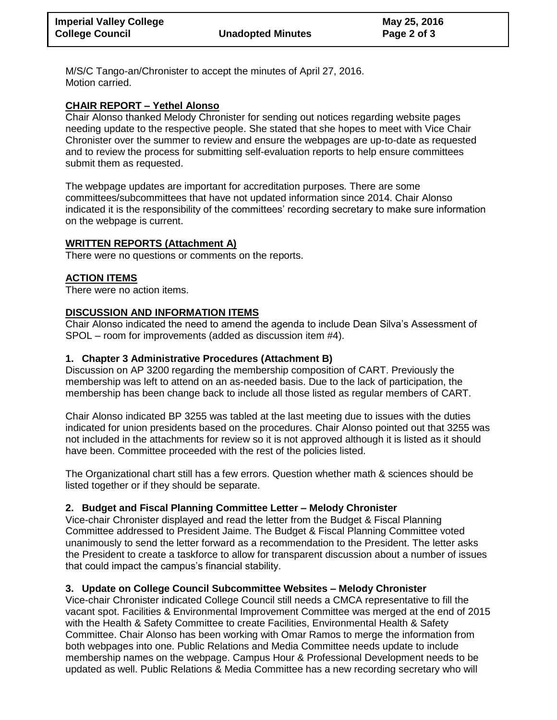M/S/C Tango-an/Chronister to accept the minutes of April 27, 2016. Motion carried.

#### **CHAIR REPORT – Yethel Alonso**

Chair Alonso thanked Melody Chronister for sending out notices regarding website pages needing update to the respective people. She stated that she hopes to meet with Vice Chair Chronister over the summer to review and ensure the webpages are up-to-date as requested and to review the process for submitting self-evaluation reports to help ensure committees submit them as requested.

The webpage updates are important for accreditation purposes. There are some committees/subcommittees that have not updated information since 2014. Chair Alonso indicated it is the responsibility of the committees' recording secretary to make sure information on the webpage is current.

## **WRITTEN REPORTS (Attachment A)**

There were no questions or comments on the reports.

#### **ACTION ITEMS**

There were no action items.

#### **DISCUSSION AND INFORMATION ITEMS**

Chair Alonso indicated the need to amend the agenda to include Dean Silva's Assessment of SPOL – room for improvements (added as discussion item #4).

#### **1. Chapter 3 Administrative Procedures (Attachment B)**

Discussion on AP 3200 regarding the membership composition of CART. Previously the membership was left to attend on an as-needed basis. Due to the lack of participation, the membership has been change back to include all those listed as regular members of CART.

Chair Alonso indicated BP 3255 was tabled at the last meeting due to issues with the duties indicated for union presidents based on the procedures. Chair Alonso pointed out that 3255 was not included in the attachments for review so it is not approved although it is listed as it should have been. Committee proceeded with the rest of the policies listed.

The Organizational chart still has a few errors. Question whether math & sciences should be listed together or if they should be separate.

## **2. Budget and Fiscal Planning Committee Letter – Melody Chronister**

Vice-chair Chronister displayed and read the letter from the Budget & Fiscal Planning Committee addressed to President Jaime. The Budget & Fiscal Planning Committee voted unanimously to send the letter forward as a recommendation to the President. The letter asks the President to create a taskforce to allow for transparent discussion about a number of issues that could impact the campus's financial stability.

#### **3. Update on College Council Subcommittee Websites – Melody Chronister**

Vice-chair Chronister indicated College Council still needs a CMCA representative to fill the vacant spot. Facilities & Environmental Improvement Committee was merged at the end of 2015 with the Health & Safety Committee to create Facilities, Environmental Health & Safety Committee. Chair Alonso has been working with Omar Ramos to merge the information from both webpages into one. Public Relations and Media Committee needs update to include membership names on the webpage. Campus Hour & Professional Development needs to be updated as well. Public Relations & Media Committee has a new recording secretary who will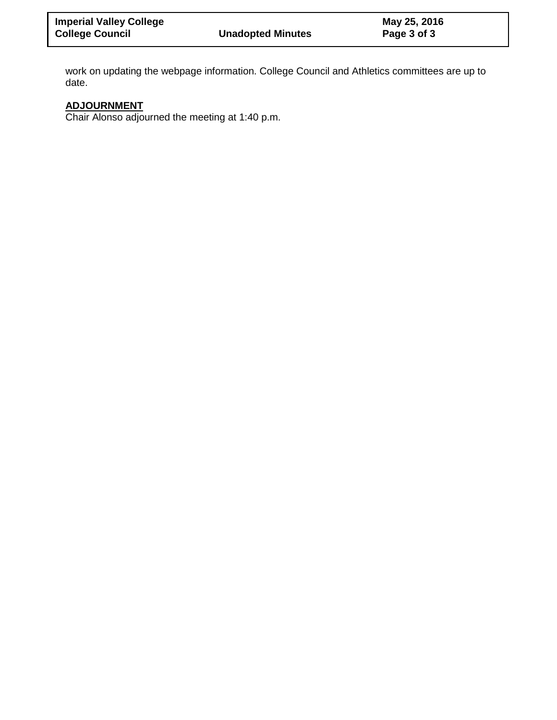work on updating the webpage information. College Council and Athletics committees are up to date.

## **ADJOURNMENT**

Chair Alonso adjourned the meeting at 1:40 p.m.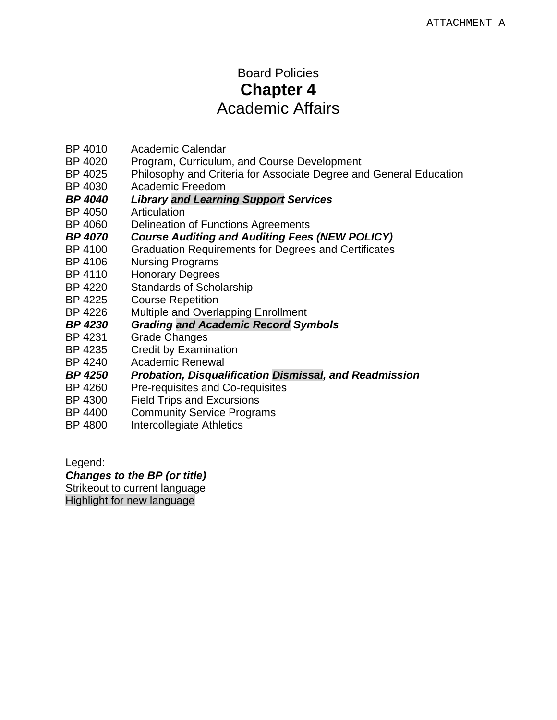# Board Policies **Chapter 4**  Academic Affairs

- BP 4010 Academic Calendar
- BP 4020 Program, Curriculum, and Course Development
- BP 4025 Philosophy and Criteria for Associate Degree and General Education
- BP 4030 Academic Freedom
- *BP 4040 Library and Learning Support Services*
- BP 4050 Articulation
- BP 4060 Delineation of Functions Agreements
- *BP 4070 Course Auditing and Auditing Fees (NEW POLICY)*
- **Graduation Requirements for Degrees and Certificates**
- BP 4106 Nursing Programs
- BP 4110 Honorary Degrees
- BP 4220 Standards of Scholarship
- BP 4225 Course Repetition
- BP 4226 Multiple and Overlapping Enrollment
- *BP 4230 Grading and Academic Record Symbols*
- BP 4231 Grade Changes
- BP 4235 Credit by Examination
- BP 4240 Academic Renewal
- *BP 4250 Probation, Disqualification Dismissal, and Readmission*
- BP 4260 Pre-requisites and Co-requisites
- BP 4300 Field Trips and Excursions
- BP 4400 Community Service Programs
- BP 4800 Intercollegiate Athletics

Legend:

*Changes to the BP (or title)* 

Strikeout to current language Highlight for new language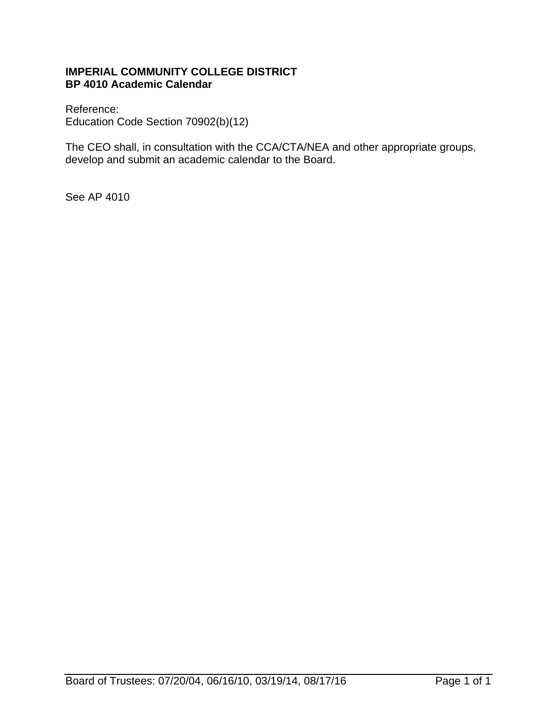## **IMPERIAL COMMUNITY COLLEGE DISTRICT BP 4010 Academic Calendar**

Reference: Education Code Section 70902(b)(12)

The CEO shall, in consultation with the CCA/CTA/NEA and other appropriate groups, develop and submit an academic calendar to the Board.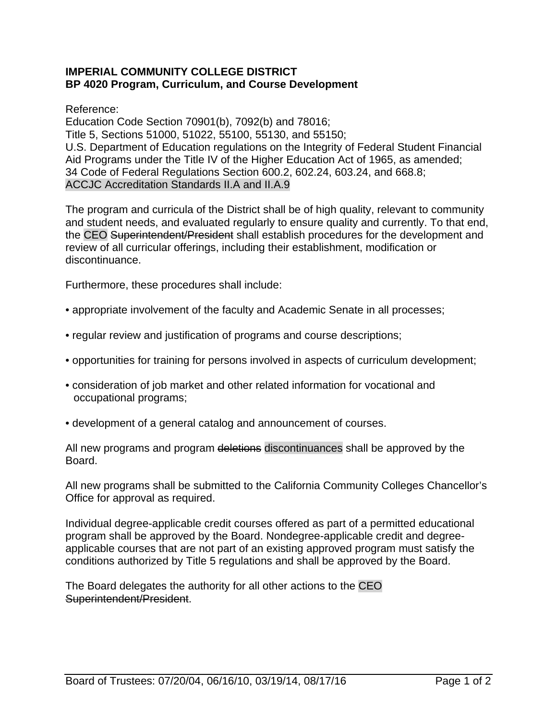#### **IMPERIAL COMMUNITY COLLEGE DISTRICT BP 4020 Program, Curriculum, and Course Development**

Reference:

Education Code Section 70901(b), 7092(b) and 78016; Title 5, Sections 51000, 51022, 55100, 55130, and 55150; U.S. Department of Education regulations on the Integrity of Federal Student Financial Aid Programs under the Title IV of the Higher Education Act of 1965, as amended; 34 Code of Federal Regulations Section 600.2, 602.24, 603.24, and 668.8; ACCJC Accreditation Standards II.A and II.A.9

The program and curricula of the District shall be of high quality, relevant to community and student needs, and evaluated regularly to ensure quality and currently. To that end, the CEO Superintendent/President shall establish procedures for the development and review of all curricular offerings, including their establishment, modification or discontinuance.

Furthermore, these procedures shall include:

- appropriate involvement of the faculty and Academic Senate in all processes;
- regular review and justification of programs and course descriptions;
- opportunities for training for persons involved in aspects of curriculum development;
- consideration of job market and other related information for vocational and occupational programs;
- development of a general catalog and announcement of courses.

All new programs and program deletions discontinuances shall be approved by the Board.

All new programs shall be submitted to the California Community Colleges Chancellor's Office for approval as required.

Individual degree-applicable credit courses offered as part of a permitted educational program shall be approved by the Board. Nondegree-applicable credit and degreeapplicable courses that are not part of an existing approved program must satisfy the conditions authorized by Title 5 regulations and shall be approved by the Board.

The Board delegates the authority for all other actions to the CEO Superintendent/President.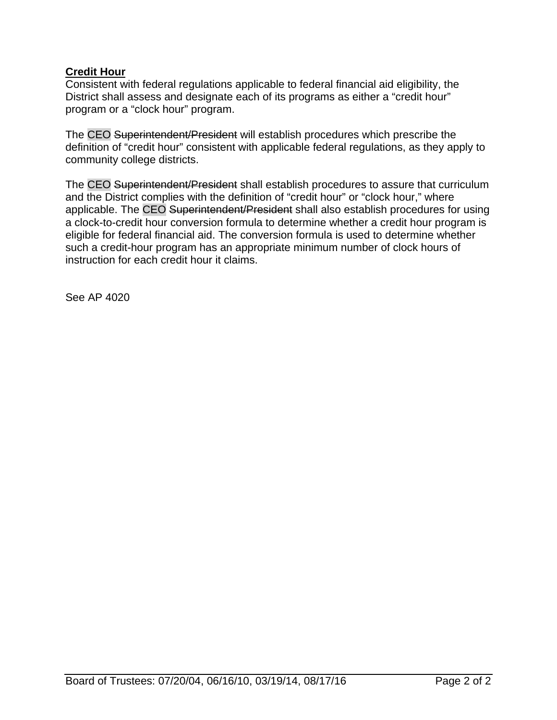## **Credit Hour**

Consistent with federal regulations applicable to federal financial aid eligibility, the District shall assess and designate each of its programs as either a "credit hour" program or a "clock hour" program.

The CEO Superintendent/President will establish procedures which prescribe the definition of "credit hour" consistent with applicable federal regulations, as they apply to community college districts.

The CEO Superintendent/President shall establish procedures to assure that curriculum and the District complies with the definition of "credit hour" or "clock hour," where applicable. The CEO Superintendent/President shall also establish procedures for using a clock-to-credit hour conversion formula to determine whether a credit hour program is eligible for federal financial aid. The conversion formula is used to determine whether such a credit-hour program has an appropriate minimum number of clock hours of instruction for each credit hour it claims.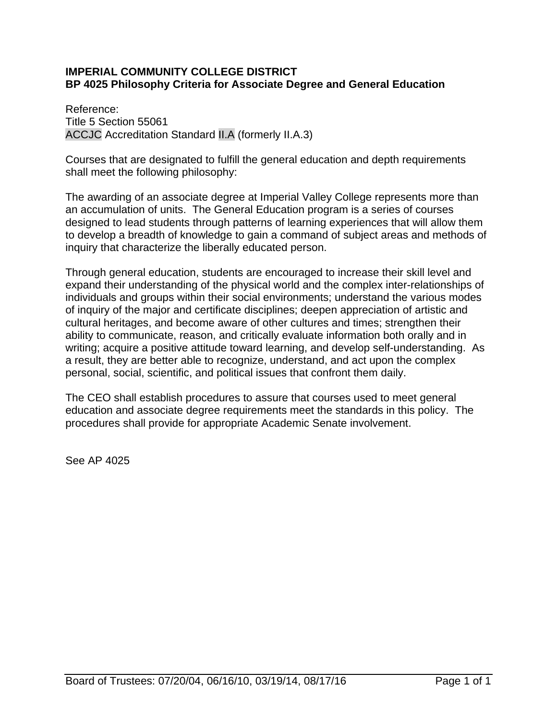## **IMPERIAL COMMUNITY COLLEGE DISTRICT BP 4025 Philosophy Criteria for Associate Degree and General Education**

Reference: Title 5 Section 55061 ACCJC Accreditation Standard II.A (formerly II.A.3)

Courses that are designated to fulfill the general education and depth requirements shall meet the following philosophy:

The awarding of an associate degree at Imperial Valley College represents more than an accumulation of units. The General Education program is a series of courses designed to lead students through patterns of learning experiences that will allow them to develop a breadth of knowledge to gain a command of subject areas and methods of inquiry that characterize the liberally educated person.

Through general education, students are encouraged to increase their skill level and expand their understanding of the physical world and the complex inter-relationships of individuals and groups within their social environments; understand the various modes of inquiry of the major and certificate disciplines; deepen appreciation of artistic and cultural heritages, and become aware of other cultures and times; strengthen their ability to communicate, reason, and critically evaluate information both orally and in writing; acquire a positive attitude toward learning, and develop self-understanding. As a result, they are better able to recognize, understand, and act upon the complex personal, social, scientific, and political issues that confront them daily.

The CEO shall establish procedures to assure that courses used to meet general education and associate degree requirements meet the standards in this policy. The procedures shall provide for appropriate Academic Senate involvement.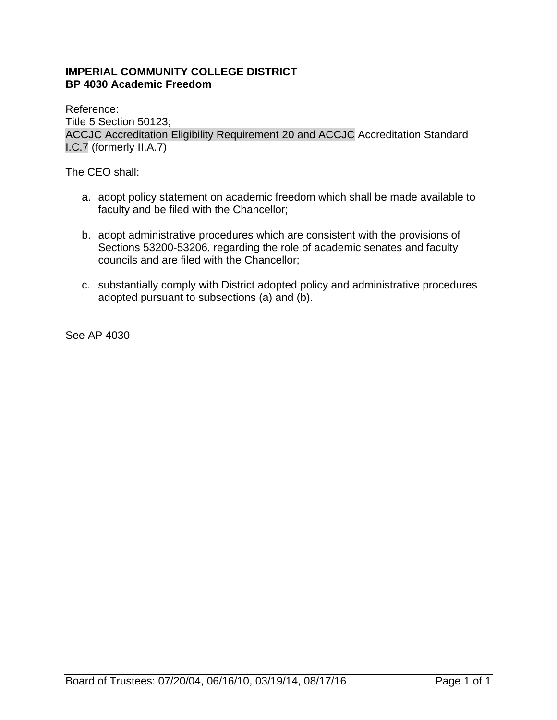## **IMPERIAL COMMUNITY COLLEGE DISTRICT BP 4030 Academic Freedom**

Reference: Title 5 Section 50123; ACCJC Accreditation Eligibility Requirement 20 and ACCJC Accreditation Standard I.C.7 (formerly II.A.7)

The CEO shall:

- a. adopt policy statement on academic freedom which shall be made available to faculty and be filed with the Chancellor;
- b. adopt administrative procedures which are consistent with the provisions of Sections 53200-53206, regarding the role of academic senates and faculty councils and are filed with the Chancellor;
- c. substantially comply with District adopted policy and administrative procedures adopted pursuant to subsections (a) and (b).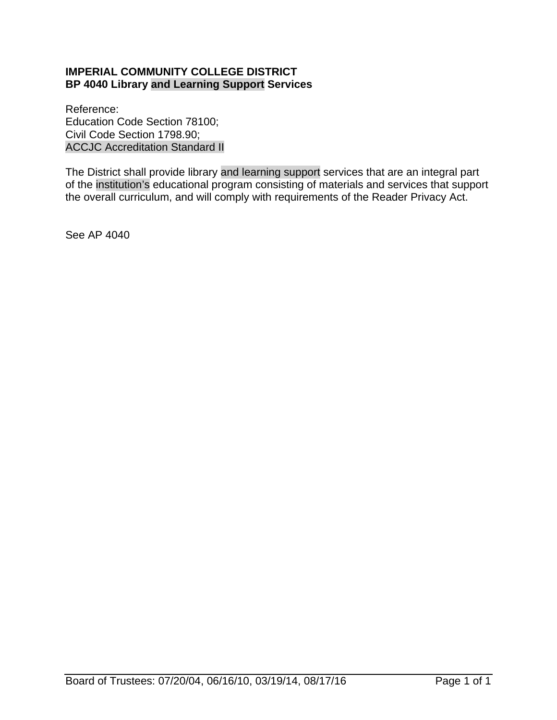## **IMPERIAL COMMUNITY COLLEGE DISTRICT BP 4040 Library and Learning Support Services**

Reference: Education Code Section 78100; Civil Code Section 1798.90; ACCJC Accreditation Standard II

The District shall provide library and learning support services that are an integral part of the institution's educational program consisting of materials and services that support the overall curriculum, and will comply with requirements of the Reader Privacy Act.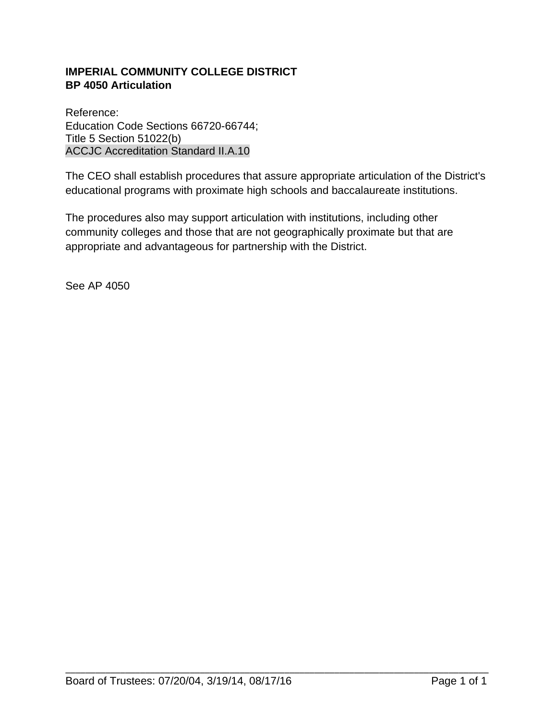## **IMPERIAL COMMUNITY COLLEGE DISTRICT BP 4050 Articulation**

Reference: Education Code Sections 66720-66744; Title 5 Section 51022(b) ACCJC Accreditation Standard II.A.10

The CEO shall establish procedures that assure appropriate articulation of the District's educational programs with proximate high schools and baccalaureate institutions.

The procedures also may support articulation with institutions, including other community colleges and those that are not geographically proximate but that are appropriate and advantageous for partnership with the District.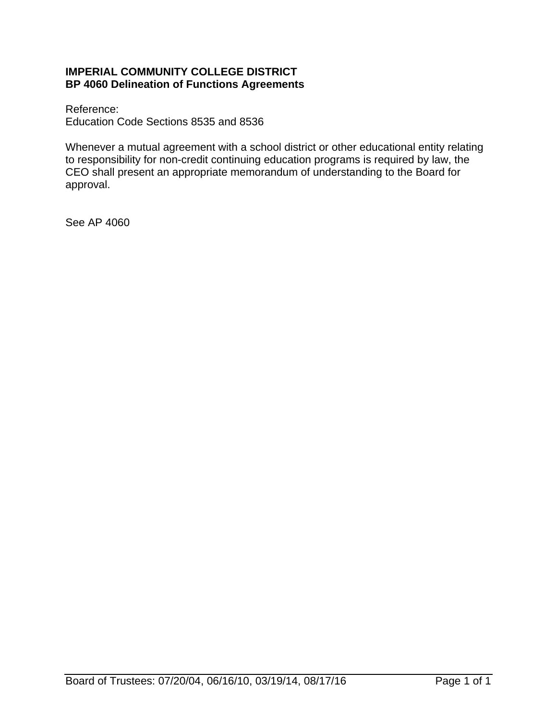#### **IMPERIAL COMMUNITY COLLEGE DISTRICT BP 4060 Delineation of Functions Agreements**

Reference: Education Code Sections 8535 and 8536

Whenever a mutual agreement with a school district or other educational entity relating to responsibility for non-credit continuing education programs is required by law, the CEO shall present an appropriate memorandum of understanding to the Board for approval.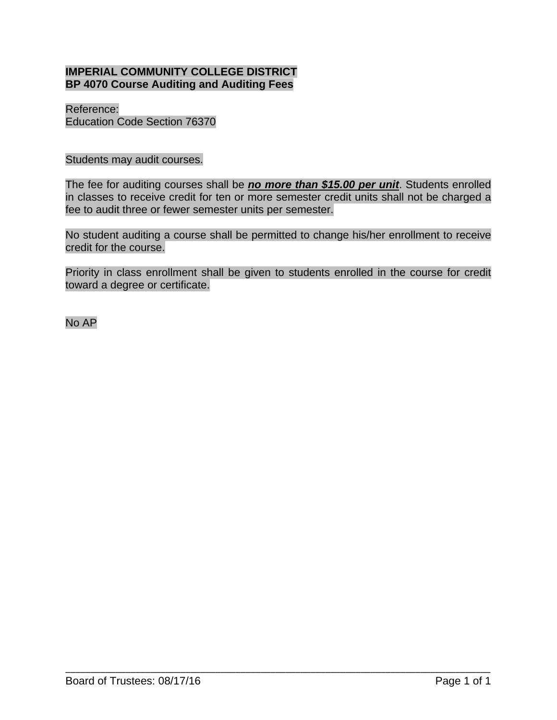## **IMPERIAL COMMUNITY COLLEGE DISTRICT BP 4070 Course Auditing and Auditing Fees**

Reference: Education Code Section 76370

Students may audit courses.

The fee for auditing courses shall be *no more than \$15.00 per unit*. Students enrolled in classes to receive credit for ten or more semester credit units shall not be charged a fee to audit three or fewer semester units per semester.

No student auditing a course shall be permitted to change his/her enrollment to receive credit for the course.

Priority in class enrollment shall be given to students enrolled in the course for credit toward a degree or certificate.

\_\_\_\_\_\_\_\_\_\_\_\_\_\_\_\_\_\_\_\_\_\_\_\_\_\_\_\_\_\_\_\_\_\_\_\_\_\_\_\_\_\_\_\_\_\_\_\_\_\_\_\_\_\_\_\_\_\_\_\_\_\_\_\_\_\_\_\_\_\_\_\_\_\_\_\_\_\_\_\_\_\_\_\_\_

No AP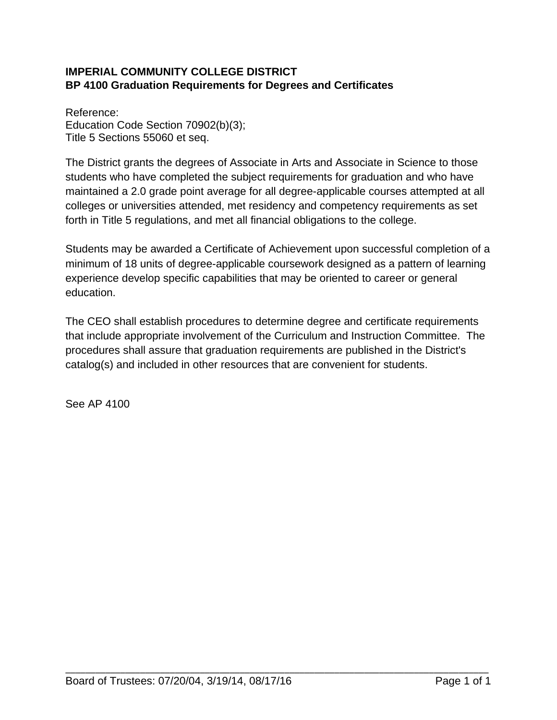## **IMPERIAL COMMUNITY COLLEGE DISTRICT BP 4100 Graduation Requirements for Degrees and Certificates**

Reference: Education Code Section 70902(b)(3); Title 5 Sections 55060 et seq.

The District grants the degrees of Associate in Arts and Associate in Science to those students who have completed the subject requirements for graduation and who have maintained a 2.0 grade point average for all degree-applicable courses attempted at all colleges or universities attended, met residency and competency requirements as set forth in Title 5 regulations, and met all financial obligations to the college.

Students may be awarded a Certificate of Achievement upon successful completion of a minimum of 18 units of degree-applicable coursework designed as a pattern of learning experience develop specific capabilities that may be oriented to career or general education.

The CEO shall establish procedures to determine degree and certificate requirements that include appropriate involvement of the Curriculum and Instruction Committee. The procedures shall assure that graduation requirements are published in the District's catalog(s) and included in other resources that are convenient for students.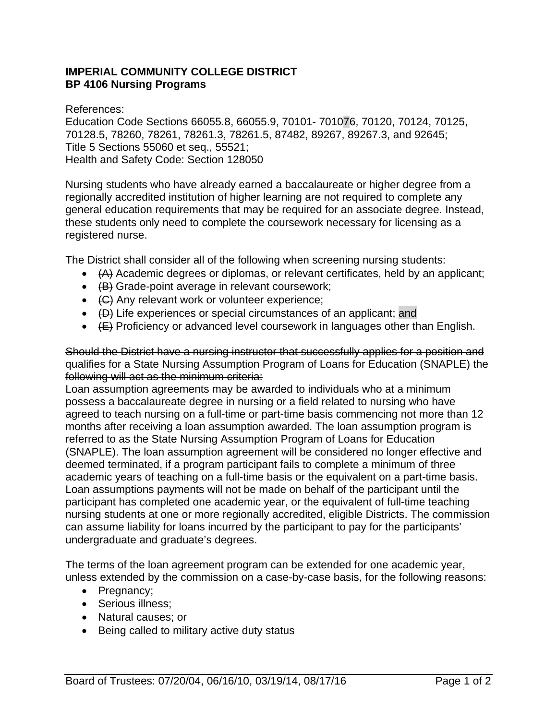## **IMPERIAL COMMUNITY COLLEGE DISTRICT BP 4106 Nursing Programs**

References:

Education Code Sections 66055.8, 66055.9, 70101- 701076, 70120, 70124, 70125, 70128.5, 78260, 78261, 78261.3, 78261.5, 87482, 89267, 89267.3, and 92645; Title 5 Sections 55060 et seq., 55521; Health and Safety Code: Section 128050

Nursing students who have already earned a baccalaureate or higher degree from a regionally accredited institution of higher learning are not required to complete any general education requirements that may be required for an associate degree. Instead, these students only need to complete the coursework necessary for licensing as a registered nurse.

The District shall consider all of the following when screening nursing students:

- $\leftrightarrow$   $(A)$  Academic degrees or diplomas, or relevant certificates, held by an applicant;
- $\leftarrow$   $\left(\frac{B}{B}\right)$  Grade-point average in relevant coursework;
- (C) Any relevant work or volunteer experience;
- $\leftarrow$   $\left\langle \right.$  (D) Life experiences or special circumstances of an applicant; and
- $\leftarrow$   $\leftarrow$  Proficiency or advanced level coursework in languages other than English.

Should the District have a nursing instructor that successfully applies for a position and qualifies for a State Nursing Assumption Program of Loans for Education (SNAPLE) the following will act as the minimum criteria:

Loan assumption agreements may be awarded to individuals who at a minimum possess a baccalaureate degree in nursing or a field related to nursing who have agreed to teach nursing on a full-time or part-time basis commencing not more than 12 months after receiving a loan assumption awarded. The loan assumption program is referred to as the State Nursing Assumption Program of Loans for Education (SNAPLE). The loan assumption agreement will be considered no longer effective and deemed terminated, if a program participant fails to complete a minimum of three academic years of teaching on a full-time basis or the equivalent on a part-time basis. Loan assumptions payments will not be made on behalf of the participant until the participant has completed one academic year, or the equivalent of full-time teaching nursing students at one or more regionally accredited, eligible Districts. The commission can assume liability for loans incurred by the participant to pay for the participants' undergraduate and graduate's degrees.

The terms of the loan agreement program can be extended for one academic year, unless extended by the commission on a case-by-case basis, for the following reasons:

- Pregnancy;
- Serious illness;
- Natural causes; or
- Being called to military active duty status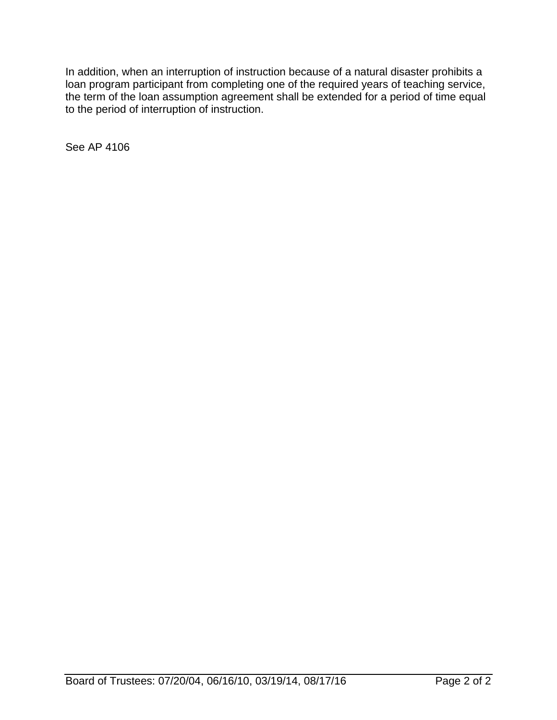In addition, when an interruption of instruction because of a natural disaster prohibits a loan program participant from completing one of the required years of teaching service, the term of the loan assumption agreement shall be extended for a period of time equal to the period of interruption of instruction.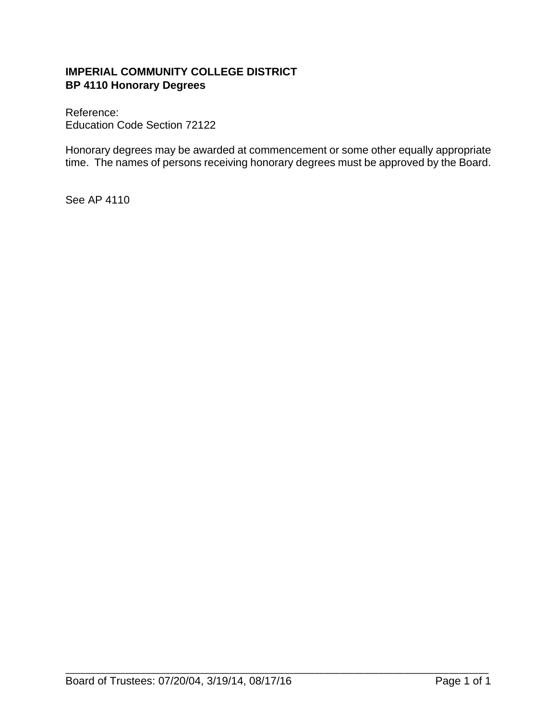## **IMPERIAL COMMUNITY COLLEGE DISTRICT BP 4110 Honorary Degrees**

Reference: Education Code Section 72122

Honorary degrees may be awarded at commencement or some other equally appropriate time. The names of persons receiving honorary degrees must be approved by the Board.

\_\_\_\_\_\_\_\_\_\_\_\_\_\_\_\_\_\_\_\_\_\_\_\_\_\_\_\_\_\_\_\_\_\_\_\_\_\_\_\_\_\_\_\_\_\_\_\_\_\_\_\_\_\_\_\_\_\_\_\_\_\_\_\_\_\_\_\_\_\_\_\_\_\_\_\_\_\_\_\_\_\_\_\_\_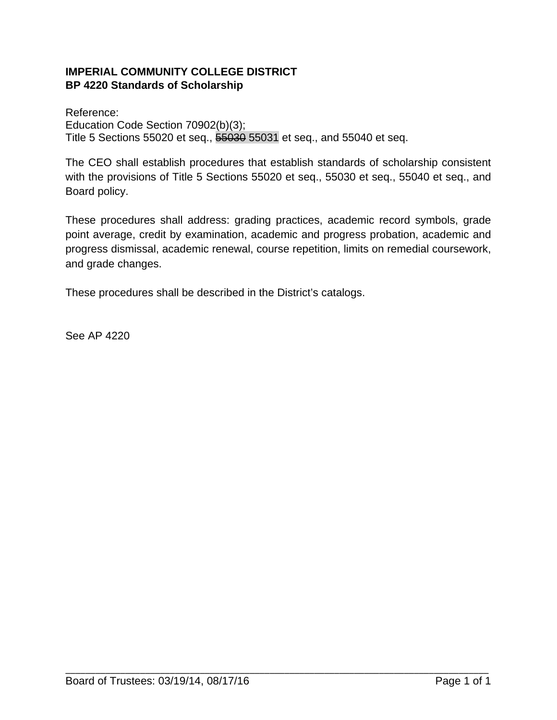## **IMPERIAL COMMUNITY COLLEGE DISTRICT BP 4220 Standards of Scholarship**

Reference: Education Code Section 70902(b)(3); Title 5 Sections 55020 et seq., 55030 55031 et seq., and 55040 et seq.

The CEO shall establish procedures that establish standards of scholarship consistent with the provisions of Title 5 Sections 55020 et seq., 55030 et seq., 55040 et seq., and Board policy.

These procedures shall address: grading practices, academic record symbols, grade point average, credit by examination, academic and progress probation, academic and progress dismissal, academic renewal, course repetition, limits on remedial coursework, and grade changes.

These procedures shall be described in the District's catalogs.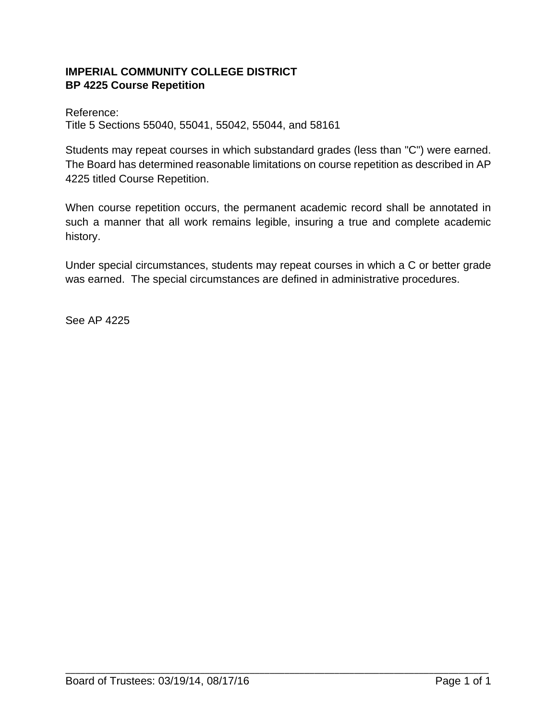## **IMPERIAL COMMUNITY COLLEGE DISTRICT BP 4225 Course Repetition**

Reference: Title 5 Sections 55040, 55041, 55042, 55044, and 58161

Students may repeat courses in which substandard grades (less than "C") were earned. The Board has determined reasonable limitations on course repetition as described in AP 4225 titled Course Repetition.

When course repetition occurs, the permanent academic record shall be annotated in such a manner that all work remains legible, insuring a true and complete academic history.

Under special circumstances, students may repeat courses in which a C or better grade was earned. The special circumstances are defined in administrative procedures.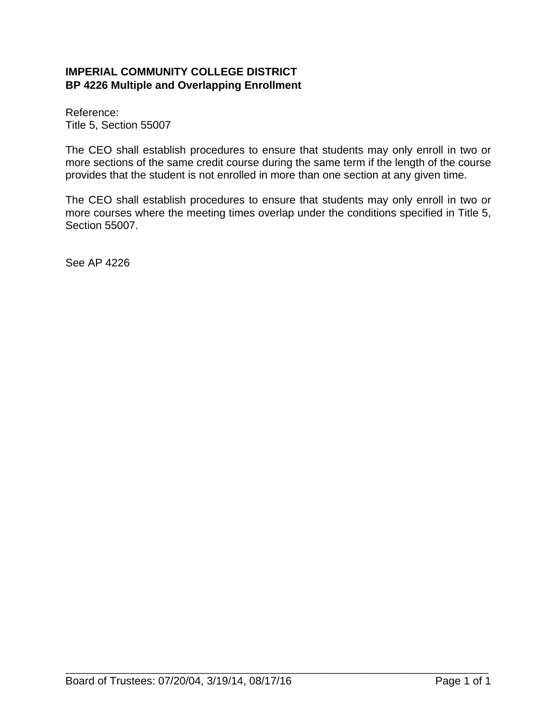## **IMPERIAL COMMUNITY COLLEGE DISTRICT BP 4226 Multiple and Overlapping Enrollment**

Reference: Title 5, Section 55007

The CEO shall establish procedures to ensure that students may only enroll in two or more sections of the same credit course during the same term if the length of the course provides that the student is not enrolled in more than one section at any given time.

The CEO shall establish procedures to ensure that students may only enroll in two or more courses where the meeting times overlap under the conditions specified in Title 5, Section 55007.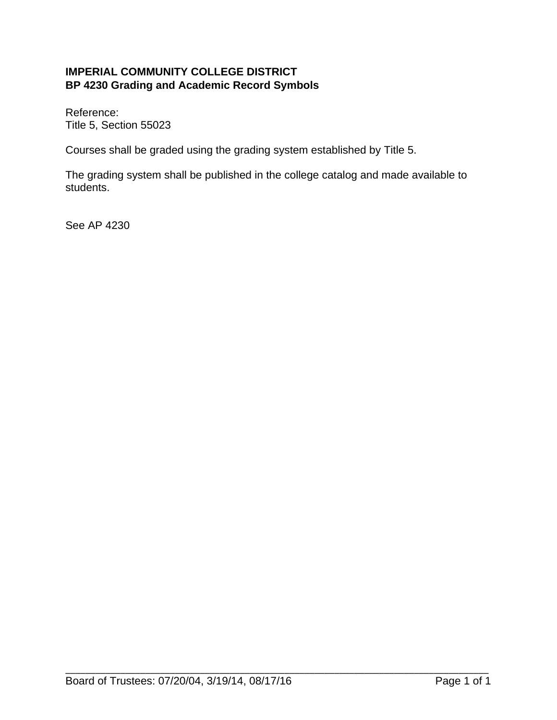## **IMPERIAL COMMUNITY COLLEGE DISTRICT BP 4230 Grading and Academic Record Symbols**

Reference: Title 5, Section 55023

Courses shall be graded using the grading system established by Title 5.

The grading system shall be published in the college catalog and made available to students.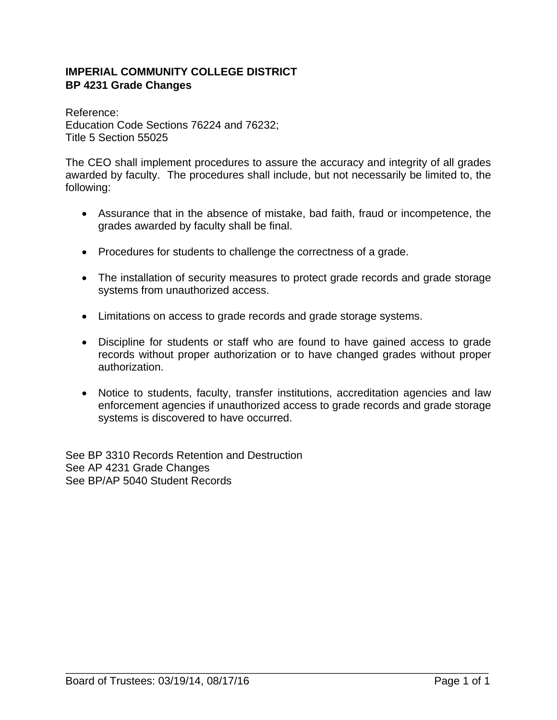## **IMPERIAL COMMUNITY COLLEGE DISTRICT BP 4231 Grade Changes**

Reference: Education Code Sections 76224 and 76232; Title 5 Section 55025

The CEO shall implement procedures to assure the accuracy and integrity of all grades awarded by faculty. The procedures shall include, but not necessarily be limited to, the following:

- Assurance that in the absence of mistake, bad faith, fraud or incompetence, the grades awarded by faculty shall be final.
- Procedures for students to challenge the correctness of a grade.
- The installation of security measures to protect grade records and grade storage systems from unauthorized access.
- Limitations on access to grade records and grade storage systems.
- Discipline for students or staff who are found to have gained access to grade records without proper authorization or to have changed grades without proper authorization.
- Notice to students, faculty, transfer institutions, accreditation agencies and law enforcement agencies if unauthorized access to grade records and grade storage systems is discovered to have occurred.

See BP 3310 Records Retention and Destruction See AP 4231 Grade Changes See BP/AP 5040 Student Records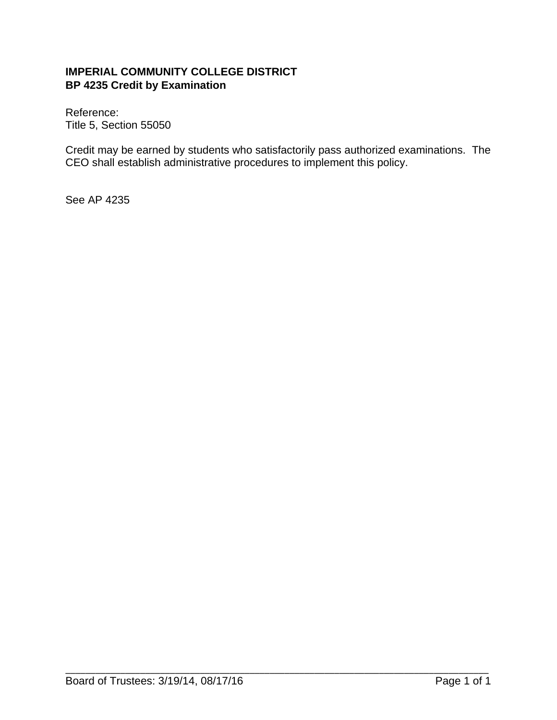## **IMPERIAL COMMUNITY COLLEGE DISTRICT BP 4235 Credit by Examination**

Reference: Title 5, Section 55050

Credit may be earned by students who satisfactorily pass authorized examinations. The CEO shall establish administrative procedures to implement this policy.

\_\_\_\_\_\_\_\_\_\_\_\_\_\_\_\_\_\_\_\_\_\_\_\_\_\_\_\_\_\_\_\_\_\_\_\_\_\_\_\_\_\_\_\_\_\_\_\_\_\_\_\_\_\_\_\_\_\_\_\_\_\_\_\_\_\_\_\_\_\_\_\_\_\_\_\_\_\_\_\_\_\_\_\_\_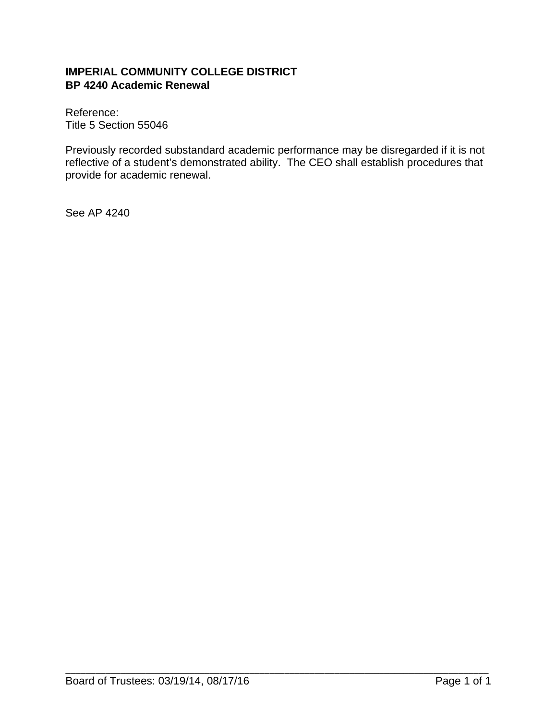## **IMPERIAL COMMUNITY COLLEGE DISTRICT BP 4240 Academic Renewal**

Reference: Title 5 Section 55046

Previously recorded substandard academic performance may be disregarded if it is not reflective of a student's demonstrated ability. The CEO shall establish procedures that provide for academic renewal.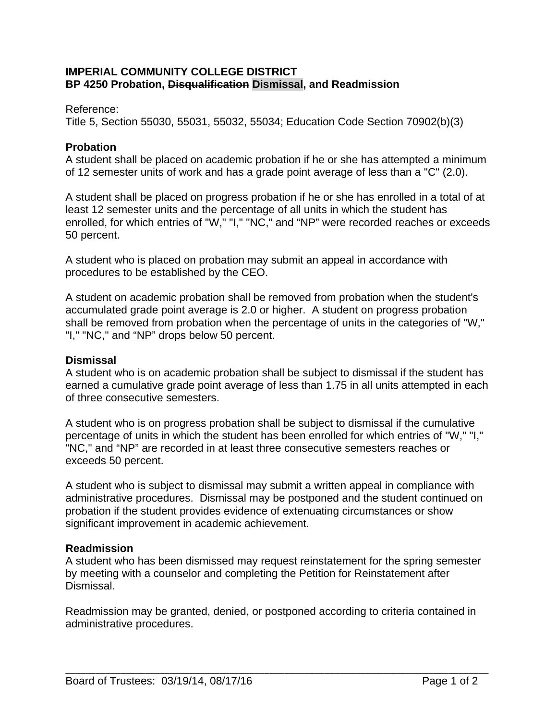## **IMPERIAL COMMUNITY COLLEGE DISTRICT BP 4250 Probation, Disqualification Dismissal, and Readmission**

#### Reference:

Title 5, Section 55030, 55031, 55032, 55034; Education Code Section 70902(b)(3)

## **Probation**

A student shall be placed on academic probation if he or she has attempted a minimum of 12 semester units of work and has a grade point average of less than a "C" (2.0).

A student shall be placed on progress probation if he or she has enrolled in a total of at least 12 semester units and the percentage of all units in which the student has enrolled, for which entries of "W," "I," "NC," and "NP" were recorded reaches or exceeds 50 percent.

A student who is placed on probation may submit an appeal in accordance with procedures to be established by the CEO.

A student on academic probation shall be removed from probation when the student's accumulated grade point average is 2.0 or higher. A student on progress probation shall be removed from probation when the percentage of units in the categories of "W," "I," "NC," and "NP" drops below 50 percent.

## **Dismissal**

A student who is on academic probation shall be subject to dismissal if the student has earned a cumulative grade point average of less than 1.75 in all units attempted in each of three consecutive semesters.

A student who is on progress probation shall be subject to dismissal if the cumulative percentage of units in which the student has been enrolled for which entries of "W," "I," "NC," and "NP" are recorded in at least three consecutive semesters reaches or exceeds 50 percent.

A student who is subject to dismissal may submit a written appeal in compliance with administrative procedures. Dismissal may be postponed and the student continued on probation if the student provides evidence of extenuating circumstances or show significant improvement in academic achievement.

## **Readmission**

A student who has been dismissed may request reinstatement for the spring semester by meeting with a counselor and completing the Petition for Reinstatement after Dismissal.

Readmission may be granted, denied, or postponed according to criteria contained in administrative procedures.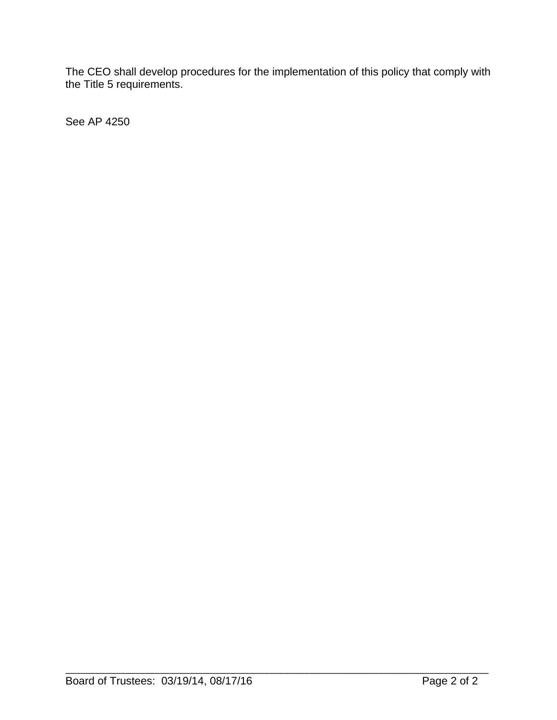The CEO shall develop procedures for the implementation of this policy that comply with the Title 5 requirements.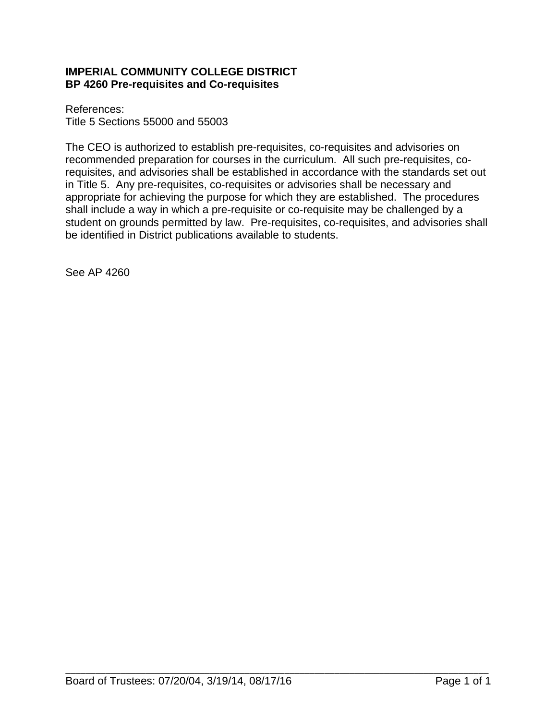## **IMPERIAL COMMUNITY COLLEGE DISTRICT BP 4260 Pre-requisites and Co-requisites**

References: Title 5 Sections 55000 and 55003

The CEO is authorized to establish pre-requisites, co-requisites and advisories on recommended preparation for courses in the curriculum. All such pre-requisites, corequisites, and advisories shall be established in accordance with the standards set out in Title 5. Any pre-requisites, co-requisites or advisories shall be necessary and appropriate for achieving the purpose for which they are established. The procedures shall include a way in which a pre-requisite or co-requisite may be challenged by a student on grounds permitted by law. Pre-requisites, co-requisites, and advisories shall be identified in District publications available to students.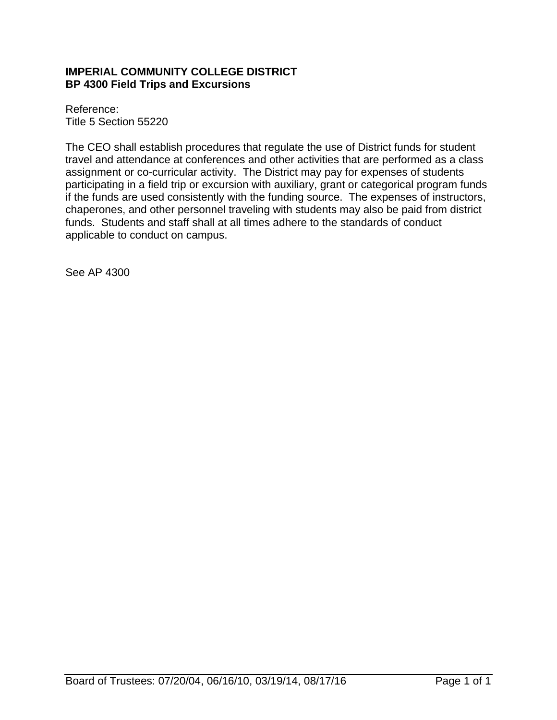## **IMPERIAL COMMUNITY COLLEGE DISTRICT BP 4300 Field Trips and Excursions**

Reference: Title 5 Section 55220

The CEO shall establish procedures that regulate the use of District funds for student travel and attendance at conferences and other activities that are performed as a class assignment or co-curricular activity. The District may pay for expenses of students participating in a field trip or excursion with auxiliary, grant or categorical program funds if the funds are used consistently with the funding source. The expenses of instructors, chaperones, and other personnel traveling with students may also be paid from district funds. Students and staff shall at all times adhere to the standards of conduct applicable to conduct on campus.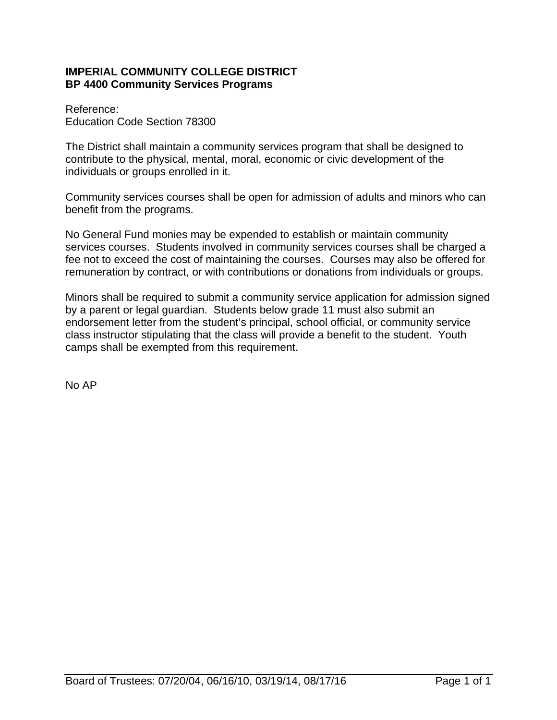## **IMPERIAL COMMUNITY COLLEGE DISTRICT BP 4400 Community Services Programs**

Reference: Education Code Section 78300

The District shall maintain a community services program that shall be designed to contribute to the physical, mental, moral, economic or civic development of the individuals or groups enrolled in it.

Community services courses shall be open for admission of adults and minors who can benefit from the programs.

No General Fund monies may be expended to establish or maintain community services courses. Students involved in community services courses shall be charged a fee not to exceed the cost of maintaining the courses. Courses may also be offered for remuneration by contract, or with contributions or donations from individuals or groups.

Minors shall be required to submit a community service application for admission signed by a parent or legal guardian. Students below grade 11 must also submit an endorsement letter from the student's principal, school official, or community service class instructor stipulating that the class will provide a benefit to the student. Youth camps shall be exempted from this requirement.

No AP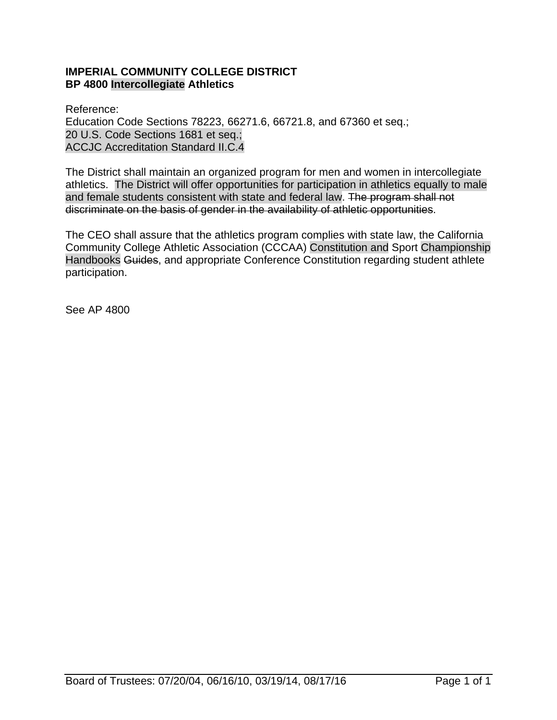## **IMPERIAL COMMUNITY COLLEGE DISTRICT BP 4800 Intercollegiate Athletics**

Reference: Education Code Sections 78223, 66271.6, 66721.8, and 67360 et seq.; 20 U.S. Code Sections 1681 et seq.; ACCJC Accreditation Standard II.C.4

The District shall maintain an organized program for men and women in intercollegiate athletics. The District will offer opportunities for participation in athletics equally to male and female students consistent with state and federal law. The program shall not discriminate on the basis of gender in the availability of athletic opportunities.

The CEO shall assure that the athletics program complies with state law, the California Community College Athletic Association (CCCAA) Constitution and Sport Championship Handbooks Guides, and appropriate Conference Constitution regarding student athlete participation.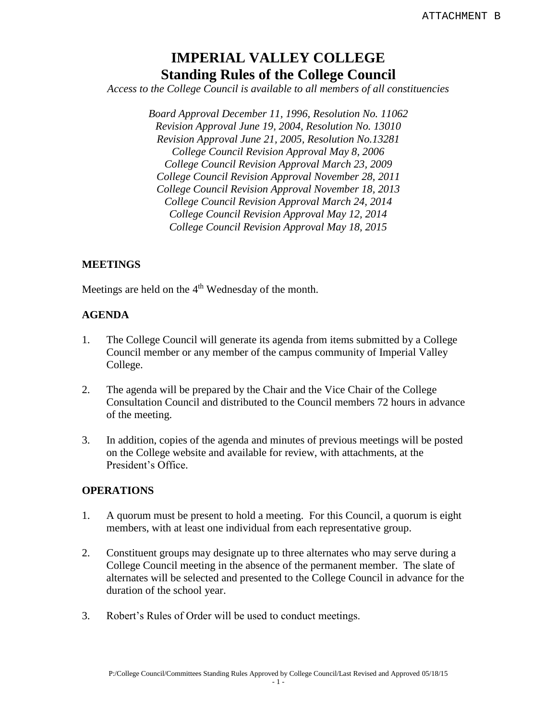# **IMPERIAL VALLEY COLLEGE Standing Rules of the College Council**

*Access to the College Council is available to all members of all constituencies*

*Board Approval December 11, 1996, Resolution No. 11062 Revision Approval June 19, 2004, Resolution No. 13010 Revision Approval June 21, 2005, Resolution No.13281 College Council Revision Approval May 8, 2006 College Council Revision Approval March 23, 2009 College Council Revision Approval November 28, 2011 College Council Revision Approval November 18, 2013 College Council Revision Approval March 24, 2014 College Council Revision Approval May 12, 2014 College Council Revision Approval May 18, 2015*

#### **MEETINGS**

Meetings are held on the  $4<sup>th</sup>$  Wednesday of the month.

#### **AGENDA**

- 1. The College Council will generate its agenda from items submitted by a College Council member or any member of the campus community of Imperial Valley College.
- 2. The agenda will be prepared by the Chair and the Vice Chair of the College Consultation Council and distributed to the Council members 72 hours in advance of the meeting.
- 3. In addition, copies of the agenda and minutes of previous meetings will be posted on the College website and available for review, with attachments, at the President's Office.

#### **OPERATIONS**

- 1. A quorum must be present to hold a meeting. For this Council, a quorum is eight members, with at least one individual from each representative group.
- 2. Constituent groups may designate up to three alternates who may serve during a College Council meeting in the absence of the permanent member. The slate of alternates will be selected and presented to the College Council in advance for the duration of the school year.
- 3. Robert's Rules of Order will be used to conduct meetings.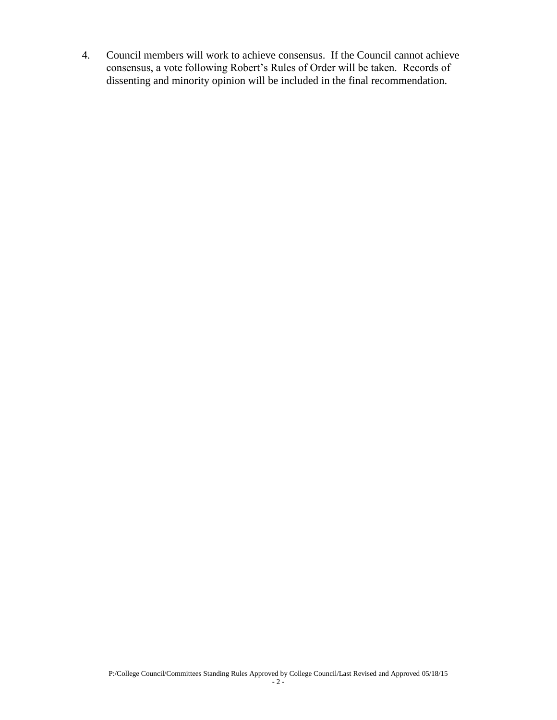4. Council members will work to achieve consensus. If the Council cannot achieve consensus, a vote following Robert's Rules of Order will be taken. Records of dissenting and minority opinion will be included in the final recommendation.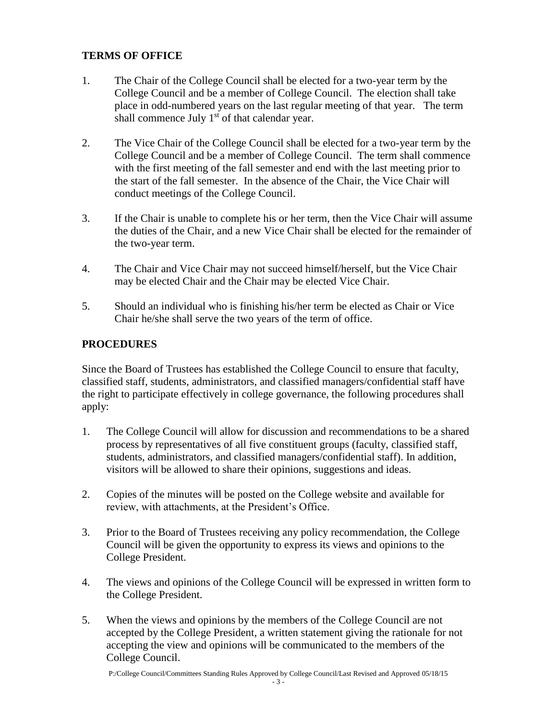## **TERMS OF OFFICE**

- 1. The Chair of the College Council shall be elected for a two-year term by the College Council and be a member of College Council. The election shall take place in odd-numbered years on the last regular meeting of that year. The term shall commence July  $1<sup>st</sup>$  of that calendar year.
- 2. The Vice Chair of the College Council shall be elected for a two-year term by the College Council and be a member of College Council. The term shall commence with the first meeting of the fall semester and end with the last meeting prior to the start of the fall semester. In the absence of the Chair, the Vice Chair will conduct meetings of the College Council.
- 3. If the Chair is unable to complete his or her term, then the Vice Chair will assume the duties of the Chair, and a new Vice Chair shall be elected for the remainder of the two-year term.
- 4. The Chair and Vice Chair may not succeed himself/herself, but the Vice Chair may be elected Chair and the Chair may be elected Vice Chair.
- 5. Should an individual who is finishing his/her term be elected as Chair or Vice Chair he/she shall serve the two years of the term of office.

## **PROCEDURES**

Since the Board of Trustees has established the College Council to ensure that faculty, classified staff, students, administrators, and classified managers/confidential staff have the right to participate effectively in college governance, the following procedures shall apply:

- 1. The College Council will allow for discussion and recommendations to be a shared process by representatives of all five constituent groups (faculty, classified staff, students, administrators, and classified managers/confidential staff). In addition, visitors will be allowed to share their opinions, suggestions and ideas.
- 2. Copies of the minutes will be posted on the College website and available for review, with attachments, at the President's Office.
- 3. Prior to the Board of Trustees receiving any policy recommendation, the College Council will be given the opportunity to express its views and opinions to the College President.
- 4. The views and opinions of the College Council will be expressed in written form to the College President.
- 5. When the views and opinions by the members of the College Council are not accepted by the College President, a written statement giving the rationale for not accepting the view and opinions will be communicated to the members of the College Council.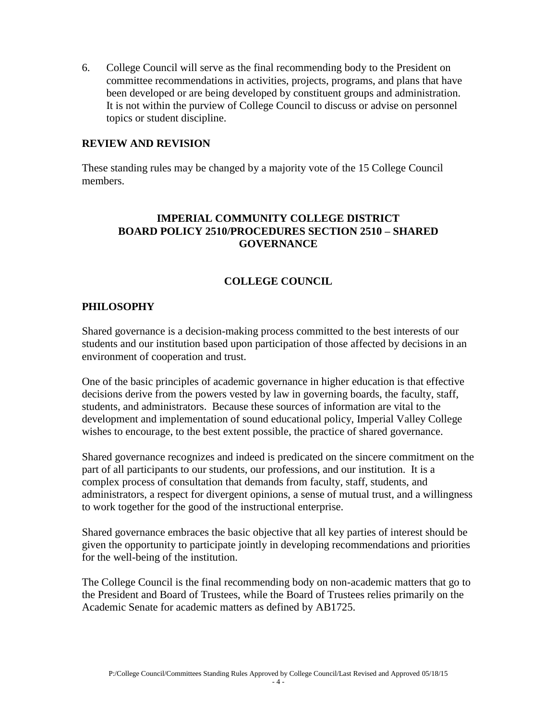6. College Council will serve as the final recommending body to the President on committee recommendations in activities, projects, programs, and plans that have been developed or are being developed by constituent groups and administration. It is not within the purview of College Council to discuss or advise on personnel topics or student discipline.

#### **REVIEW AND REVISION**

These standing rules may be changed by a majority vote of the 15 College Council members.

#### **IMPERIAL COMMUNITY COLLEGE DISTRICT BOARD POLICY 2510/PROCEDURES SECTION 2510 – SHARED GOVERNANCE**

## **COLLEGE COUNCIL**

#### **PHILOSOPHY**

Shared governance is a decision-making process committed to the best interests of our students and our institution based upon participation of those affected by decisions in an environment of cooperation and trust.

One of the basic principles of academic governance in higher education is that effective decisions derive from the powers vested by law in governing boards, the faculty, staff, students, and administrators. Because these sources of information are vital to the development and implementation of sound educational policy, Imperial Valley College wishes to encourage, to the best extent possible, the practice of shared governance.

Shared governance recognizes and indeed is predicated on the sincere commitment on the part of all participants to our students, our professions, and our institution. It is a complex process of consultation that demands from faculty, staff, students, and administrators, a respect for divergent opinions, a sense of mutual trust, and a willingness to work together for the good of the instructional enterprise.

Shared governance embraces the basic objective that all key parties of interest should be given the opportunity to participate jointly in developing recommendations and priorities for the well-being of the institution.

The College Council is the final recommending body on non-academic matters that go to the President and Board of Trustees, while the Board of Trustees relies primarily on the Academic Senate for academic matters as defined by AB1725.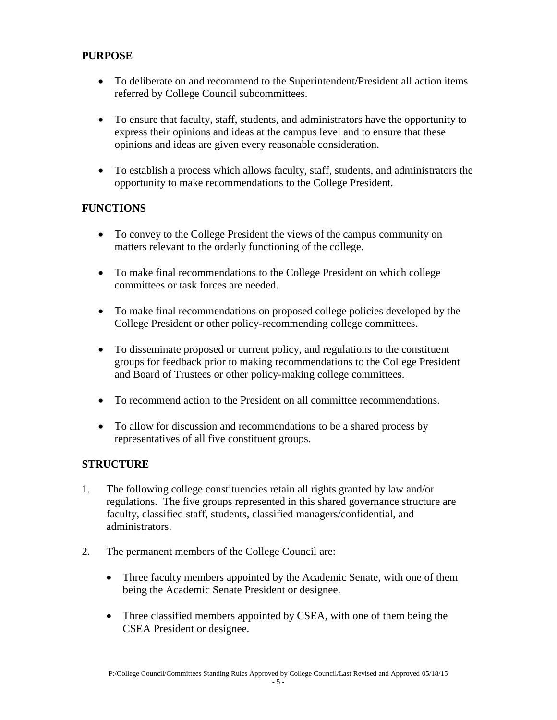## **PURPOSE**

- To deliberate on and recommend to the Superintendent/President all action items referred by College Council subcommittees.
- To ensure that faculty, staff, students, and administrators have the opportunity to express their opinions and ideas at the campus level and to ensure that these opinions and ideas are given every reasonable consideration.
- To establish a process which allows faculty, staff, students, and administrators the opportunity to make recommendations to the College President.

## **FUNCTIONS**

- To convey to the College President the views of the campus community on matters relevant to the orderly functioning of the college.
- To make final recommendations to the College President on which college committees or task forces are needed.
- To make final recommendations on proposed college policies developed by the College President or other policy-recommending college committees.
- To disseminate proposed or current policy, and regulations to the constituent groups for feedback prior to making recommendations to the College President and Board of Trustees or other policy-making college committees.
- To recommend action to the President on all committee recommendations.
- To allow for discussion and recommendations to be a shared process by representatives of all five constituent groups.

## **STRUCTURE**

- 1. The following college constituencies retain all rights granted by law and/or regulations. The five groups represented in this shared governance structure are faculty, classified staff, students, classified managers/confidential, and administrators.
- 2. The permanent members of the College Council are:
	- Three faculty members appointed by the Academic Senate, with one of them being the Academic Senate President or designee.
	- Three classified members appointed by CSEA, with one of them being the CSEA President or designee.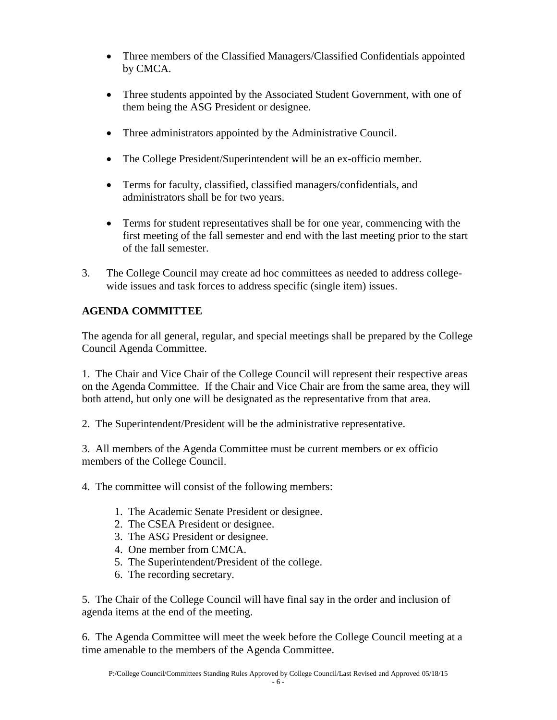- Three members of the Classified Managers/Classified Confidentials appointed by CMCA.
- Three students appointed by the Associated Student Government, with one of them being the ASG President or designee.
- Three administrators appointed by the Administrative Council.
- The College President/Superintendent will be an ex-officio member.
- Terms for faculty, classified, classified managers/confidentials, and administrators shall be for two years.
- Terms for student representatives shall be for one year, commencing with the first meeting of the fall semester and end with the last meeting prior to the start of the fall semester.
- 3. The College Council may create ad hoc committees as needed to address collegewide issues and task forces to address specific (single item) issues.

## **AGENDA COMMITTEE**

The agenda for all general, regular, and special meetings shall be prepared by the College Council Agenda Committee.

1. The Chair and Vice Chair of the College Council will represent their respective areas on the Agenda Committee. If the Chair and Vice Chair are from the same area, they will both attend, but only one will be designated as the representative from that area.

2. The Superintendent/President will be the administrative representative.

3. All members of the Agenda Committee must be current members or ex officio members of the College Council.

4. The committee will consist of the following members:

- 1. The Academic Senate President or designee.
- 2. The CSEA President or designee.
- 3. The ASG President or designee.
- 4. One member from CMCA.
- 5. The Superintendent/President of the college.
- 6. The recording secretary.

5. The Chair of the College Council will have final say in the order and inclusion of agenda items at the end of the meeting.

6. The Agenda Committee will meet the week before the College Council meeting at a time amenable to the members of the Agenda Committee.